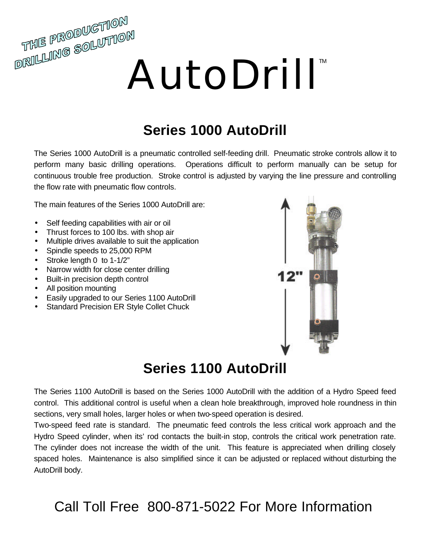# AutoDrill<sup>™</sup>

### **Series 1000 AutoDrill**

The Series 1000 AutoDrill is a pneumatic controlled self-feeding drill. Pneumatic stroke controls allow it to perform many basic drilling operations. Operations difficult to perform manually can be setup for continuous trouble free production. Stroke control is adjusted by varying the line pressure and controlling the flow rate with pneumatic flow controls.

The main features of the Series 1000 AutoDrill are:

- Self feeding capabilities with air or oil
- Thrust forces to 100 lbs. with shop air
- Multiple drives available to suit the application
- Spindle speeds to 25,000 RPM
- Stroke length 0 to 1-1/2"
- Narrow width for close center drilling
- Built-in precision depth control
- All position mounting

THE PRODUCTION

- Easily upgraded to our Series 1100 AutoDrill
- Standard Precision ER Style Collet Chuck



### **Series 1100 AutoDrill**

The Series 1100 AutoDrill is based on the Series 1000 AutoDrill with the addition of a Hydro Speed feed control. This additional control is useful when a clean hole breakthrough, improved hole roundness in thin sections, very small holes, larger holes or when two-speed operation is desired.

Two-speed feed rate is standard. The pneumatic feed controls the less critical work approach and the Hydro Speed cylinder, when its' rod contacts the built-in stop, controls the critical work penetration rate. The cylinder does not increase the width of the unit. This feature is appreciated when drilling closely spaced holes. Maintenance is also simplified since it can be adjusted or replaced without disturbing the AutoDrill body.

### Call Toll Free 800-871-5022 For More Information